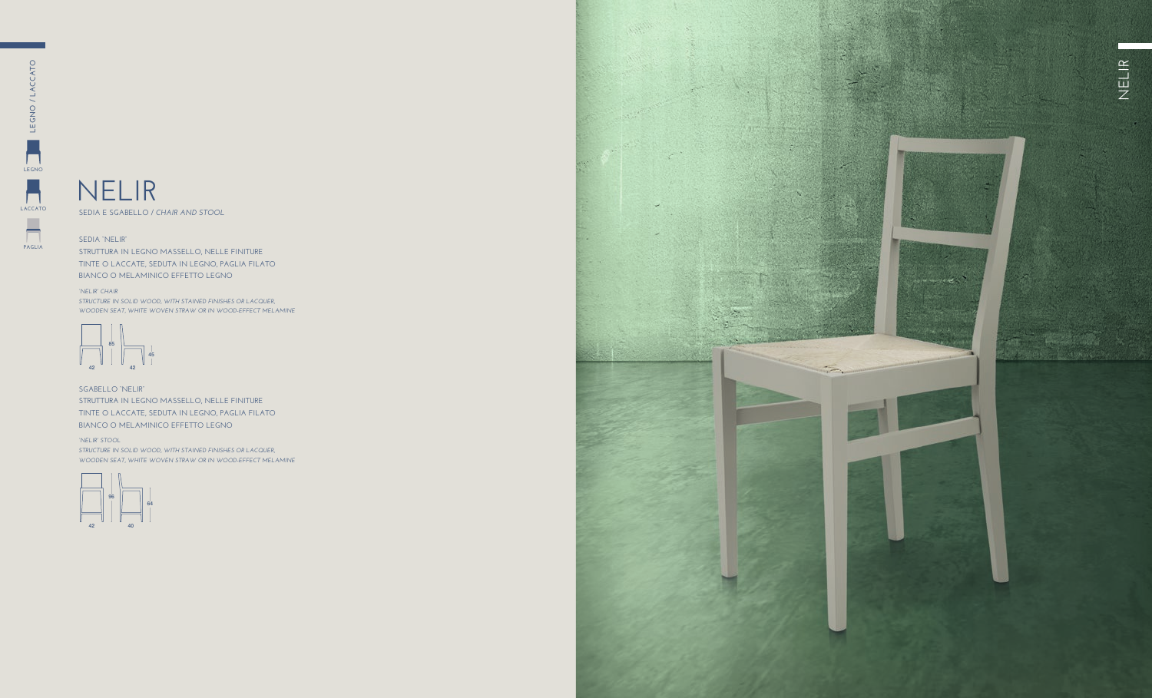**SEDIA E SGABELLO /** *CHAIR AND STOOL*

## **SEDIA "NELIR"**

**STRUTTURA IN LEGNO MASSELLO, NELLE FINITURE TINTE O LACCATE, SEDUTA IN LEGNO, PAGLIA FILATO BIANCO O MELAMINICO EFFETTO LEGNO** 

**SGABELLO "NELIR" STRUTTURA IN LEGNO MASSELLO, NELLE FINITURE TINTE O LACCATE, SEDUTA IN LEGNO, PAGLIA FILATO BIANCO O MELAMINICO EFFETTO LEGNO** 

#### *"NELIR" CHAIR*

*STRUCTURE IN SOLID WOOD, WITH STAINED FINISHES OR LACQUER, WOODEN SEAT, WHITE WOVEN STRAW OR IN WOOD-EFFECT MELAMINE*

### *"NELIR" STOOL*

*STRUCTURE IN SOLID WOOD, WITH STAINED FINISHES OR LACQUER, WOODEN SEAT, WHITE WOVEN STRAW OR IN WOOD-EFFECT MELAMINE*





**LEGNO**

**LACCATO**

**PAGLIA**

 $\frac{1}{\sqrt{2}}$